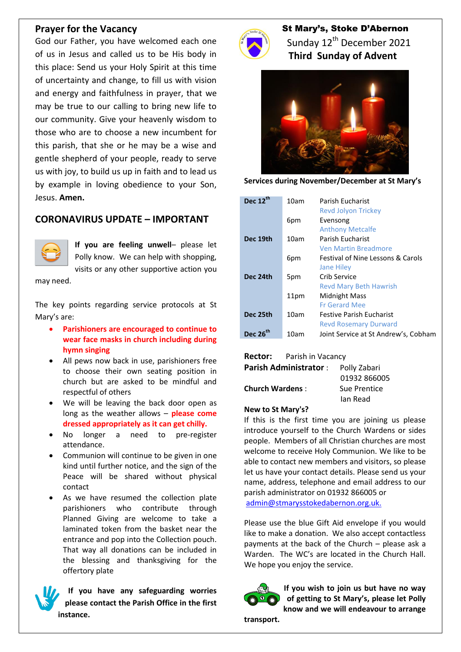#### **Prayer for the Vacancy**

God our Father, you have welcomed each one of us in Jesus and called us to be His body in this place: Send us your Holy Spirit at this time of uncertainty and change, to fill us with vision and energy and faithfulness in prayer, that we may be true to our calling to bring new life to our community. Give your heavenly wisdom to those who are to choose a new incumbent for this parish, that she or he may be a wise and gentle shepherd of your people, ready to serve us with joy, to build us up in faith and to lead us by example in loving obedience to your Son, Jesus. **Amen.**

# **CORONAVIRUS UPDATE – IMPORTANT**



**If you are feeling unwell**– please let Polly know. We can help with shopping, visits or any other supportive action you

may need.

The key points regarding service protocols at St Mary's are:

- **Parishioners are encouraged to continue to wear face masks in church including during hymn singing**
- All pews now back in use, parishioners free to choose their own seating position in church but are asked to be mindful and respectful of others
- We will be leaving the back door open as long as the weather allows – **please come dressed appropriately as it can get chilly.**
- No longer a need to pre-register attendance.
- Communion will continue to be given in one kind until further notice, and the sign of the Peace will be shared without physical contact
- As we have resumed the collection plate parishioners who contribute through Planned Giving are welcome to take a laminated token from the basket near the entrance and pop into the Collection pouch. That way all donations can be included in the blessing and thanksgiving for the offertory plate

**If you have any safeguarding worries please contact the Parish Office in the first instance.**



 St Mary's, Stoke D'Abernon Sunday 12<sup>th</sup> December 2021  **Third Sunday of Advent**



**Services during November/December at St Mary's**

| Dec $12^{th}$<br>10am | Parish Fucharist     | <b>Revd Jolyon Trickey</b>                   |
|-----------------------|----------------------|----------------------------------------------|
| 6pm                   | Evensong             | <b>Anthony Metcalfe</b>                      |
| 10am<br>Dec 19th      | Parish Fucharist     |                                              |
|                       |                      | <b>Ven Martin Breadmore</b>                  |
| 6pm                   |                      | <b>Festival of Nine Lessons &amp; Carols</b> |
|                       | <b>Jane Hiley</b>    |                                              |
| Dec 24th<br>5pm       | Crib Service         |                                              |
|                       |                      | <b>Revd Mary Beth Hawrish</b>                |
| 11pm                  | Midnight Mass        |                                              |
|                       | <b>Fr Gerard Mee</b> |                                              |
| Dec 25th<br>10am      |                      | <b>Festive Parish Eucharist</b>              |
|                       |                      | <b>Revd Rosemary Durward</b>                 |
| <b>Dec 26</b><br>10am |                      | Joint Service at St Andrew's, Cobham         |

**Rector:** Parish in Vacancy

| <b>Parish Administrator:</b> | Polly Zabari |
|------------------------------|--------------|
|                              | 01932 866005 |
| <b>Church Wardens:</b>       | Sue Prentice |
|                              | Ian Read     |

#### **New to St Mary's?**

If this is the first time you are joining us please introduce yourself to the Church Wardens or sides people. Members of all Christian churches are most welcome to receive Holy Communion. We like to be able to contact new members and visitors, so please let us have your contact details. Please send us your name, address, telephone and email address to our parish administrator on 01932 866005 or [admin@stmarysstokedabernon.org.uk.](mailto:admin@stmarysstokedabernon.org.uk)

Please use the blue Gift Aid envelope if you would like to make a donation. We also accept contactless payments at the back of the Church – please ask a Warden. The WC's are located in the Church Hall. We hope you enjoy the service.



**If you wish to join us but have no way of getting to St Mary's, please let Polly know and we will endeavour to arrange** 

**transport.**